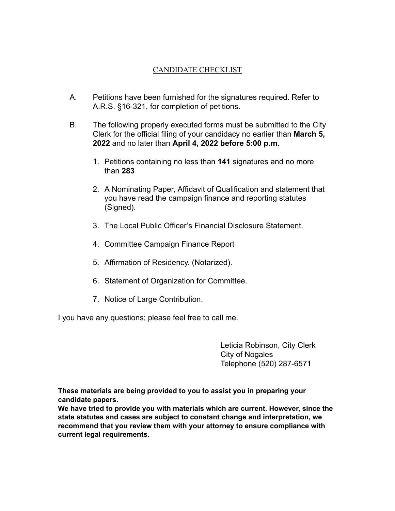## CANDIDATE CHECKLIST

- A. Petitions have been furnished for the signatures required. Refer to A.R.S. §16-321, for completion of petitions.
- B. The following properly executed forms must be submitted to the City Clerk for the official filing of your candidacy no earlier than **March 5, 2022** and no later than **April 4, 2022 before 5:00 p.m.**
	- 1. Petitions containing no less than **141** signatures and no more than **283**
	- 2. A Nominating Paper, Affidavit of Qualification and statement that you have read the campaign finance and reporting statutes (Signed).
	- 3. The Local Public Officer's Financial Disclosure Statement.
	- 4. Committee Campaign Finance Report
	- 5. Affirmation of Residency. (Notarized).
	- 6. Statement of Organization for Committee.
	- 7. Notice of Large Contribution.

I you have any questions; please feel free to call me.

Leticia Robinson, City Clerk City of Nogales Telephone (520) 287-6571

**These materials are being provided to you to assist you in preparing your candidate papers.**

**We have tried to provide you with materials which are current. However, since the state statutes and cases are subject to constant change and interpretation, we recommend that you review them with your attorney to ensure compliance with current legal requirements.**